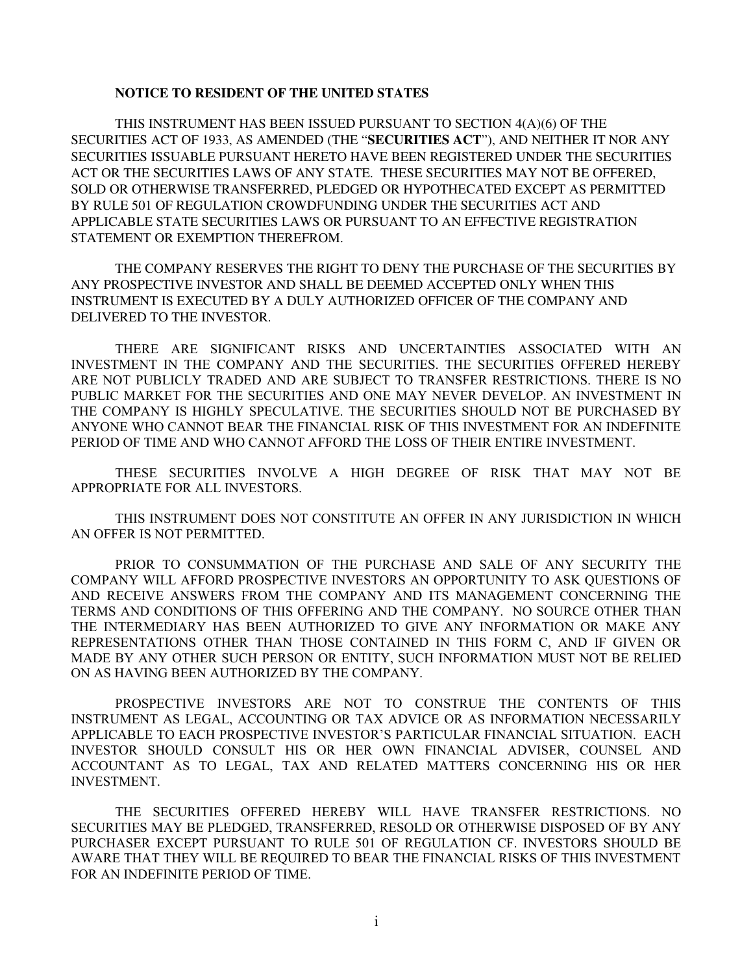#### **NOTICE TO RESIDENT OF THE UNITED STATES**

THIS INSTRUMENT HAS BEEN ISSUED PURSUANT TO SECTION 4(A)(6) OF THE SECURITIES ACT OF 1933, AS AMENDED (THE "**SECURITIES ACT**"), AND NEITHER IT NOR ANY SECURITIES ISSUABLE PURSUANT HERETO HAVE BEEN REGISTERED UNDER THE SECURITIES ACT OR THE SECURITIES LAWS OF ANY STATE. THESE SECURITIES MAY NOT BE OFFERED, SOLD OR OTHERWISE TRANSFERRED, PLEDGED OR HYPOTHECATED EXCEPT AS PERMITTED BY RULE 501 OF REGULATION CROWDFUNDING UNDER THE SECURITIES ACT AND APPLICABLE STATE SECURITIES LAWS OR PURSUANT TO AN EFFECTIVE REGISTRATION STATEMENT OR EXEMPTION THEREFROM.

THE COMPANY RESERVES THE RIGHT TO DENY THE PURCHASE OF THE SECURITIES BY ANY PROSPECTIVE INVESTOR AND SHALL BE DEEMED ACCEPTED ONLY WHEN THIS INSTRUMENT IS EXECUTED BY A DULY AUTHORIZED OFFICER OF THE COMPANY AND DELIVERED TO THE INVESTOR.

THERE ARE SIGNIFICANT RISKS AND UNCERTAINTIES ASSOCIATED WITH AN INVESTMENT IN THE COMPANY AND THE SECURITIES. THE SECURITIES OFFERED HEREBY ARE NOT PUBLICLY TRADED AND ARE SUBJECT TO TRANSFER RESTRICTIONS. THERE IS NO PUBLIC MARKET FOR THE SECURITIES AND ONE MAY NEVER DEVELOP. AN INVESTMENT IN THE COMPANY IS HIGHLY SPECULATIVE. THE SECURITIES SHOULD NOT BE PURCHASED BY ANYONE WHO CANNOT BEAR THE FINANCIAL RISK OF THIS INVESTMENT FOR AN INDEFINITE PERIOD OF TIME AND WHO CANNOT AFFORD THE LOSS OF THEIR ENTIRE INVESTMENT.

THESE SECURITIES INVOLVE A HIGH DEGREE OF RISK THAT MAY NOT BE APPROPRIATE FOR ALL INVESTORS.

THIS INSTRUMENT DOES NOT CONSTITUTE AN OFFER IN ANY JURISDICTION IN WHICH AN OFFER IS NOT PERMITTED.

PRIOR TO CONSUMMATION OF THE PURCHASE AND SALE OF ANY SECURITY THE COMPANY WILL AFFORD PROSPECTIVE INVESTORS AN OPPORTUNITY TO ASK QUESTIONS OF AND RECEIVE ANSWERS FROM THE COMPANY AND ITS MANAGEMENT CONCERNING THE TERMS AND CONDITIONS OF THIS OFFERING AND THE COMPANY. NO SOURCE OTHER THAN THE INTERMEDIARY HAS BEEN AUTHORIZED TO GIVE ANY INFORMATION OR MAKE ANY REPRESENTATIONS OTHER THAN THOSE CONTAINED IN THIS FORM C, AND IF GIVEN OR MADE BY ANY OTHER SUCH PERSON OR ENTITY, SUCH INFORMATION MUST NOT BE RELIED ON AS HAVING BEEN AUTHORIZED BY THE COMPANY.

PROSPECTIVE INVESTORS ARE NOT TO CONSTRUE THE CONTENTS OF THIS INSTRUMENT AS LEGAL, ACCOUNTING OR TAX ADVICE OR AS INFORMATION NECESSARILY APPLICABLE TO EACH PROSPECTIVE INVESTOR'S PARTICULAR FINANCIAL SITUATION. EACH INVESTOR SHOULD CONSULT HIS OR HER OWN FINANCIAL ADVISER, COUNSEL AND ACCOUNTANT AS TO LEGAL, TAX AND RELATED MATTERS CONCERNING HIS OR HER INVESTMENT.

THE SECURITIES OFFERED HEREBY WILL HAVE TRANSFER RESTRICTIONS. NO SECURITIES MAY BE PLEDGED, TRANSFERRED, RESOLD OR OTHERWISE DISPOSED OF BY ANY PURCHASER EXCEPT PURSUANT TO RULE 501 OF REGULATION CF. INVESTORS SHOULD BE AWARE THAT THEY WILL BE REQUIRED TO BEAR THE FINANCIAL RISKS OF THIS INVESTMENT FOR AN INDEFINITE PERIOD OF TIME.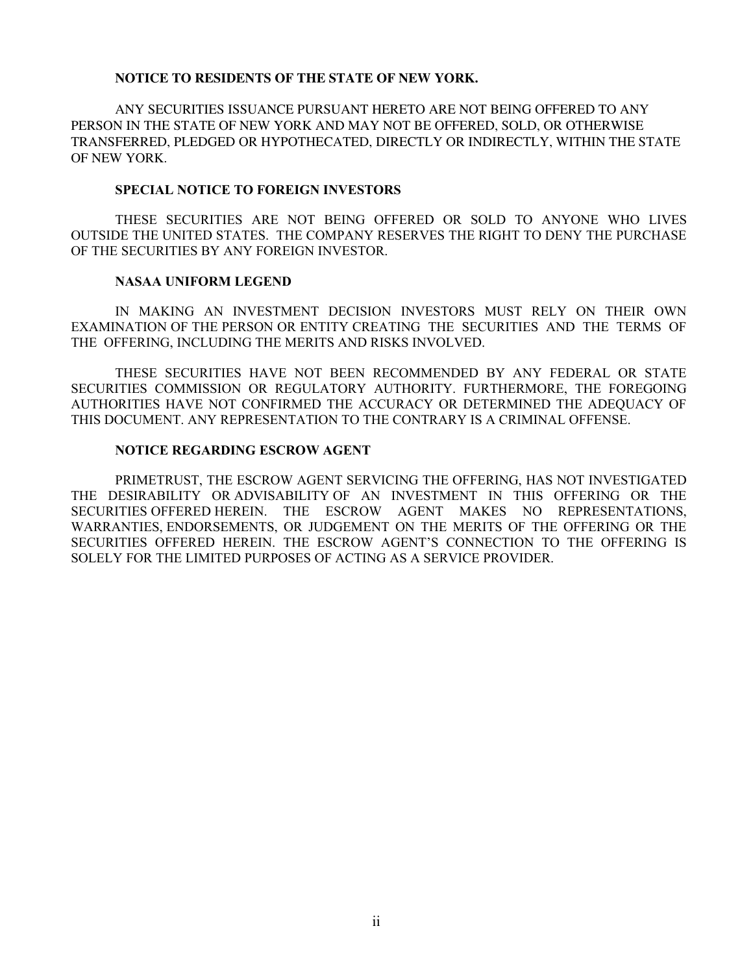#### **NOTICE TO RESIDENTS OF THE STATE OF NEW YORK.**

ANY SECURITIES ISSUANCE PURSUANT HERETO ARE NOT BEING OFFERED TO ANY PERSON IN THE STATE OF NEW YORK AND MAY NOT BE OFFERED, SOLD, OR OTHERWISE TRANSFERRED, PLEDGED OR HYPOTHECATED, DIRECTLY OR INDIRECTLY, WITHIN THE STATE OF NEW YORK.

#### **SPECIAL NOTICE TO FOREIGN INVESTORS**

THESE SECURITIES ARE NOT BEING OFFERED OR SOLD TO ANYONE WHO LIVES OUTSIDE THE UNITED STATES. THE COMPANY RESERVES THE RIGHT TO DENY THE PURCHASE OF THE SECURITIES BY ANY FOREIGN INVESTOR.

#### **NASAA UNIFORM LEGEND**

IN MAKING AN INVESTMENT DECISION INVESTORS MUST RELY ON THEIR OWN EXAMINATION OF THE PERSON OR ENTITY CREATING THE SECURITIES AND THE TERMS OF THE OFFERING, INCLUDING THE MERITS AND RISKS INVOLVED.

THESE SECURITIES HAVE NOT BEEN RECOMMENDED BY ANY FEDERAL OR STATE SECURITIES COMMISSION OR REGULATORY AUTHORITY. FURTHERMORE, THE FOREGOING AUTHORITIES HAVE NOT CONFIRMED THE ACCURACY OR DETERMINED THE ADEQUACY OF THIS DOCUMENT. ANY REPRESENTATION TO THE CONTRARY IS A CRIMINAL OFFENSE.

#### **NOTICE REGARDING ESCROW AGENT**

PRIMETRUST, THE ESCROW AGENT SERVICING THE OFFERING, HAS NOT INVESTIGATED THE DESIRABILITY OR ADVISABILITY OF AN INVESTMENT IN THIS OFFERING OR THE SECURITIES OFFERED HEREIN. THE ESCROW AGENT MAKES NO REPRESENTATIONS, WARRANTIES, ENDORSEMENTS, OR JUDGEMENT ON THE MERITS OF THE OFFERING OR THE SECURITIES OFFERED HEREIN. THE ESCROW AGENT'S CONNECTION TO THE OFFERING IS SOLELY FOR THE LIMITED PURPOSES OF ACTING AS A SERVICE PROVIDER.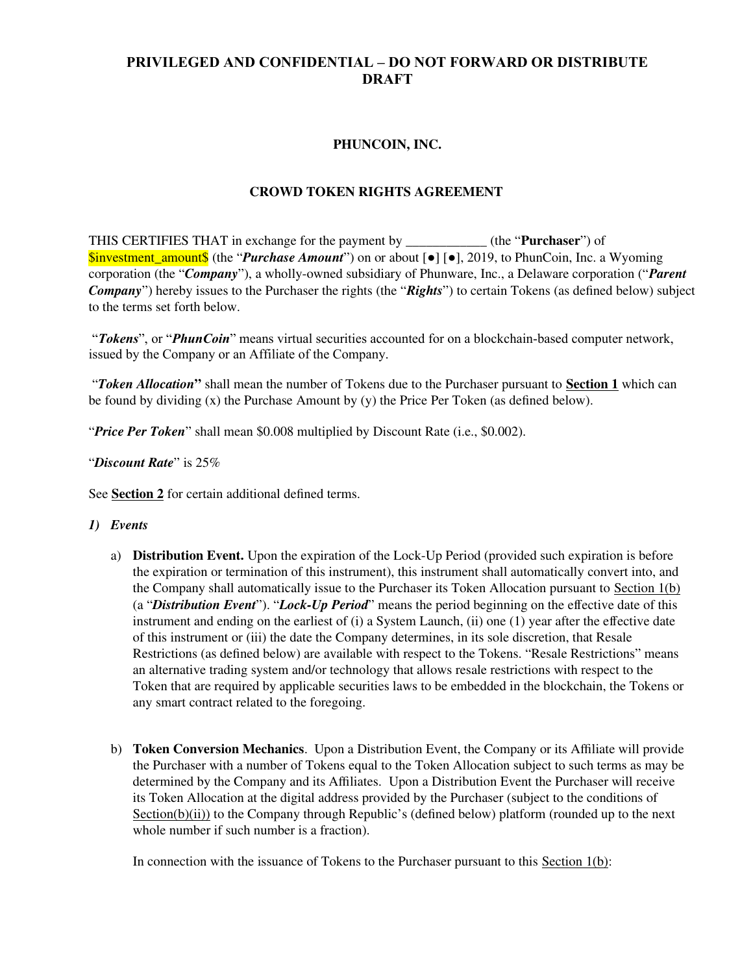# **PRIVILEGED AND CONFIDENTIAL – DO NOT FORWARD OR DISTRIBUTE DRAFT**

# **PHUNCOIN, INC.**

## **CROWD TOKEN RIGHTS AGREEMENT**

THIS CERTIFIES THAT in exchange for the payment by \_\_\_\_\_\_\_\_\_\_\_\_ (the "**Purchaser**") of \$investment\_amount\$ (the "*Purchase Amount*") on or about [●] [●], 2019, to PhunCoin, Inc. a Wyoming corporation (the "*Company*"), a wholly-owned subsidiary of Phunware, Inc., a Delaware corporation ("*Parent Company*") hereby issues to the Purchaser the rights (the "*Rights*") to certain Tokens (as defined below) subject to the terms set forth below.

 "*Tokens*", or "*PhunCoin*" means virtual securities accounted for on a blockchain-based computer network, issued by the Company or an Affiliate of the Company.

 "*Token Allocation***"** shall mean the number of Tokens due to the Purchaser pursuant to **Section 1** which can be found by dividing (x) the Purchase Amount by (y) the Price Per Token (as defined below).

"*Price Per Token*" shall mean \$0.008 multiplied by Discount Rate (i.e., \$0.002).

### "*Discount Rate*" is 25%

See **Section 2** for certain additional defined terms.

### *1) Events*

- a) **Distribution Event.** Upon the expiration of the Lock-Up Period (provided such expiration is before the expiration or termination of this instrument), this instrument shall automatically convert into, and the Company shall automatically issue to the Purchaser its Token Allocation pursuant to Section 1(b) (a "*Distribution Event*"). "*Lock-Up Period*" means the period beginning on the effective date of this instrument and ending on the earliest of (i) a System Launch, (ii) one (1) year after the effective date of this instrument or (iii) the date the Company determines, in its sole discretion, that Resale Restrictions (as defined below) are available with respect to the Tokens. "Resale Restrictions" means an alternative trading system and/or technology that allows resale restrictions with respect to the Token that are required by applicable securities laws to be embedded in the blockchain, the Tokens or any smart contract related to the foregoing.
- b) **Token Conversion Mechanics**. Upon a Distribution Event, the Company or its Affiliate will provide the Purchaser with a number of Tokens equal to the Token Allocation subject to such terms as may be determined by the Company and its Affiliates. Upon a Distribution Event the Purchaser will receive its Token Allocation at the digital address provided by the Purchaser (subject to the conditions of Section(b)(ii)) to the Company through Republic's (defined below) platform (rounded up to the next whole number if such number is a fraction).

In connection with the issuance of Tokens to the Purchaser pursuant to this Section  $1(b)$ :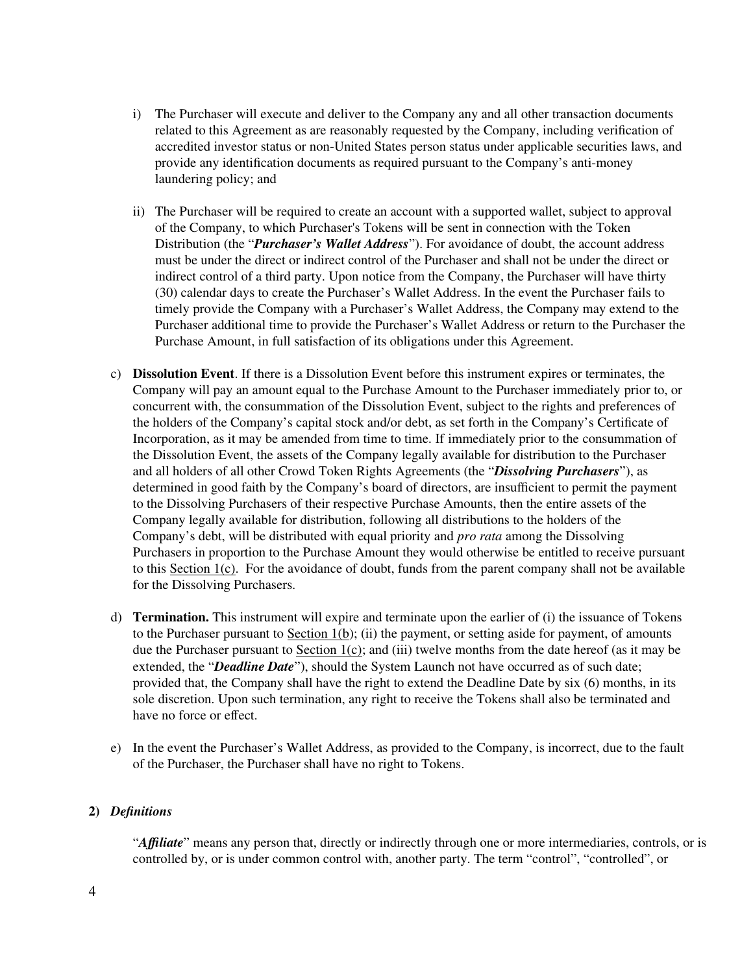- i) The Purchaser will execute and deliver to the Company any and all other transaction documents related to this Agreement as are reasonably requested by the Company, including verification of accredited investor status or non-United States person status under applicable securities laws, and provide any identification documents as required pursuant to the Company's anti-money laundering policy; and
- ii) The Purchaser will be required to create an account with a supported wallet, subject to approval of the Company, to which Purchaser's Tokens will be sent in connection with the Token Distribution (the "*Purchaser's Wallet Address*"). For avoidance of doubt, the account address must be under the direct or indirect control of the Purchaser and shall not be under the direct or indirect control of a third party. Upon notice from the Company, the Purchaser will have thirty (30) calendar days to create the Purchaser's Wallet Address. In the event the Purchaser fails to timely provide the Company with a Purchaser's Wallet Address, the Company may extend to the Purchaser additional time to provide the Purchaser's Wallet Address or return to the Purchaser the Purchase Amount, in full satisfaction of its obligations under this Agreement.
- c) **Dissolution Event**. If there is a Dissolution Event before this instrument expires or terminates, the Company will pay an amount equal to the Purchase Amount to the Purchaser immediately prior to, or concurrent with, the consummation of the Dissolution Event, subject to the rights and preferences of the holders of the Company's capital stock and/or debt, as set forth in the Company's Certificate of Incorporation, as it may be amended from time to time. If immediately prior to the consummation of the Dissolution Event, the assets of the Company legally available for distribution to the Purchaser and all holders of all other Crowd Token Rights Agreements (the "*Dissolving Purchasers*"), as determined in good faith by the Company's board of directors, are insufficient to permit the payment to the Dissolving Purchasers of their respective Purchase Amounts, then the entire assets of the Company legally available for distribution, following all distributions to the holders of the Company's debt, will be distributed with equal priority and *pro rata* among the Dissolving Purchasers in proportion to the Purchase Amount they would otherwise be entitled to receive pursuant to this Section 1(c). For the avoidance of doubt, funds from the parent company shall not be available for the Dissolving Purchasers.
- d) **Termination.** This instrument will expire and terminate upon the earlier of (i) the issuance of Tokens to the Purchaser pursuant to Section  $1(b)$ ; (ii) the payment, or setting aside for payment, of amounts due the Purchaser pursuant to Section 1(c); and (iii) twelve months from the date hereof (as it may be extended, the "*Deadline Date*"), should the System Launch not have occurred as of such date; provided that, the Company shall have the right to extend the Deadline Date by six (6) months, in its sole discretion. Upon such termination, any right to receive the Tokens shall also be terminated and have no force or effect.
- e) In the event the Purchaser's Wallet Address, as provided to the Company, is incorrect, due to the fault of the Purchaser, the Purchaser shall have no right to Tokens.

### **2)** *Definitions*

"*Affiliate*" means any person that, directly or indirectly through one or more intermediaries, controls, or is controlled by, or is under common control with, another party. The term "control", "controlled", or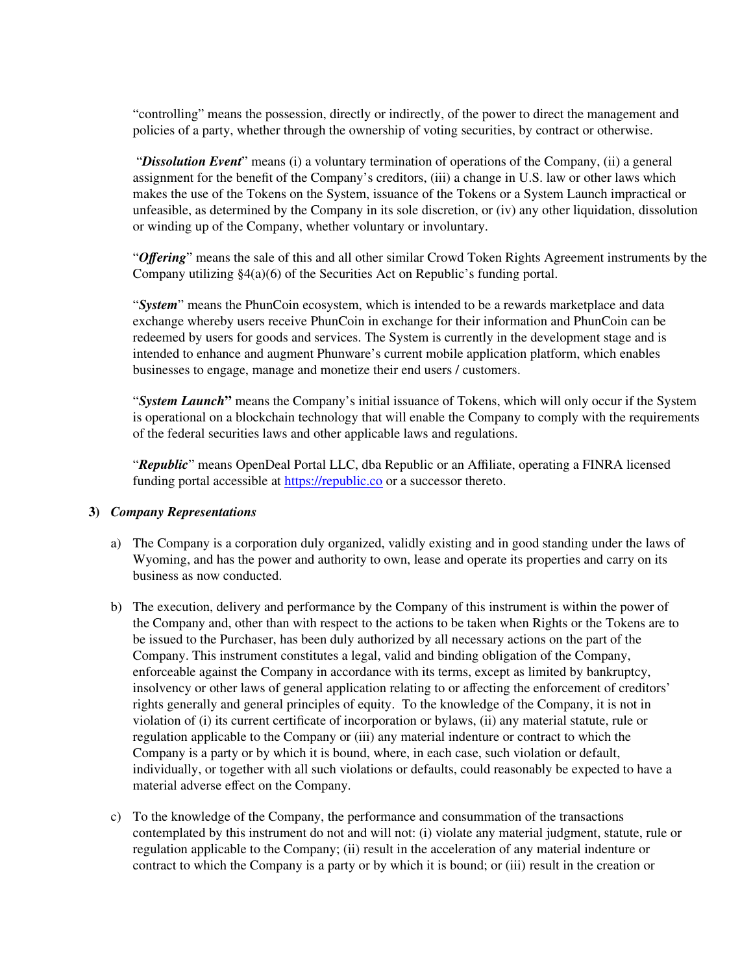"controlling" means the possession, directly or indirectly, of the power to direct the management and policies of a party, whether through the ownership of voting securities, by contract or otherwise.

 "*Dissolution Event*" means (i) a voluntary termination of operations of the Company, (ii) a general assignment for the benefit of the Company's creditors, (iii) a change in U.S. law or other laws which makes the use of the Tokens on the System, issuance of the Tokens or a System Launch impractical or unfeasible, as determined by the Company in its sole discretion, or (iv) any other liquidation, dissolution or winding up of the Company, whether voluntary or involuntary.

"*Offering*" means the sale of this and all other similar Crowd Token Rights Agreement instruments by the Company utilizing §4(a)(6) of the Securities Act on Republic's funding portal.

"*System*" means the PhunCoin ecosystem, which is intended to be a rewards marketplace and data exchange whereby users receive PhunCoin in exchange for their information and PhunCoin can be redeemed by users for goods and services. The System is currently in the development stage and is intended to enhance and augment Phunware's current mobile application platform, which enables businesses to engage, manage and monetize their end users / customers.

"*System Launch***"** means the Company's initial issuance of Tokens, which will only occur if the System is operational on a blockchain technology that will enable the Company to comply with the requirements of the federal securities laws and other applicable laws and regulations.

"*Republic*" means OpenDeal Portal LLC, dba Republic or an Affiliate, operating a FINRA licensed funding portal accessible at [https://republic.co](https://republic.co/) or a successor thereto.

### **3)** *Company Representations*

- a) The Company is a corporation duly organized, validly existing and in good standing under the laws of Wyoming, and has the power and authority to own, lease and operate its properties and carry on its business as now conducted.
- b) The execution, delivery and performance by the Company of this instrument is within the power of the Company and, other than with respect to the actions to be taken when Rights or the Tokens are to be issued to the Purchaser, has been duly authorized by all necessary actions on the part of the Company. This instrument constitutes a legal, valid and binding obligation of the Company, enforceable against the Company in accordance with its terms, except as limited by bankruptcy, insolvency or other laws of general application relating to or affecting the enforcement of creditors' rights generally and general principles of equity. To the knowledge of the Company, it is not in violation of (i) its current certificate of incorporation or bylaws, (ii) any material statute, rule or regulation applicable to the Company or (iii) any material indenture or contract to which the Company is a party or by which it is bound, where, in each case, such violation or default, individually, or together with all such violations or defaults, could reasonably be expected to have a material adverse effect on the Company.
- c) To the knowledge of the Company, the performance and consummation of the transactions contemplated by this instrument do not and will not: (i) violate any material judgment, statute, rule or regulation applicable to the Company; (ii) result in the acceleration of any material indenture or contract to which the Company is a party or by which it is bound; or (iii) result in the creation or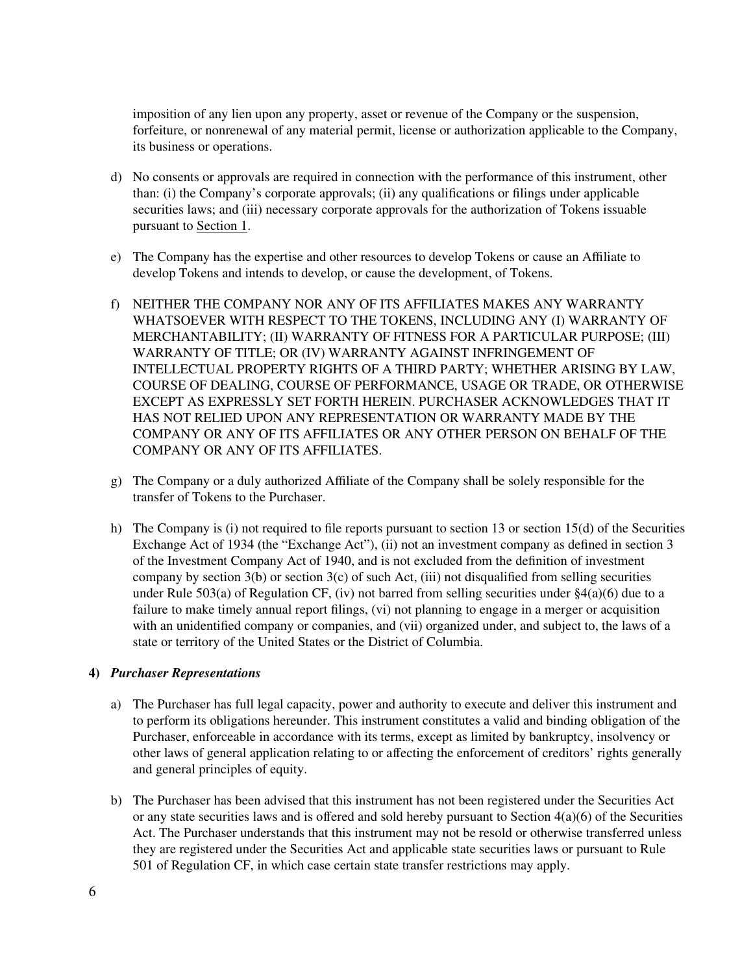imposition of any lien upon any property, asset or revenue of the Company or the suspension, forfeiture, or nonrenewal of any material permit, license or authorization applicable to the Company, its business or operations.

- d) No consents or approvals are required in connection with the performance of this instrument, other than: (i) the Company's corporate approvals; (ii) any qualifications or filings under applicable securities laws; and (iii) necessary corporate approvals for the authorization of Tokens issuable pursuant to Section 1.
- e) The Company has the expertise and other resources to develop Tokens or cause an Affiliate to develop Tokens and intends to develop, or cause the development, of Tokens.
- f) NEITHER THE COMPANY NOR ANY OF ITS AFFILIATES MAKES ANY WARRANTY WHATSOEVER WITH RESPECT TO THE TOKENS, INCLUDING ANY (I) WARRANTY OF MERCHANTABILITY; (II) WARRANTY OF FITNESS FOR A PARTICULAR PURPOSE; (III) WARRANTY OF TITLE; OR (IV) WARRANTY AGAINST INFRINGEMENT OF INTELLECTUAL PROPERTY RIGHTS OF A THIRD PARTY; WHETHER ARISING BY LAW, COURSE OF DEALING, COURSE OF PERFORMANCE, USAGE OR TRADE, OR OTHERWISE EXCEPT AS EXPRESSLY SET FORTH HEREIN. PURCHASER ACKNOWLEDGES THAT IT HAS NOT RELIED UPON ANY REPRESENTATION OR WARRANTY MADE BY THE COMPANY OR ANY OF ITS AFFILIATES OR ANY OTHER PERSON ON BEHALF OF THE COMPANY OR ANY OF ITS AFFILIATES.
- g) The Company or a duly authorized Affiliate of the Company shall be solely responsible for the transfer of Tokens to the Purchaser.
- h) The Company is (i) not required to file reports pursuant to section 13 or section 15(d) of the Securities Exchange Act of 1934 (the "Exchange Act"), (ii) not an investment company as defined in section 3 of the Investment Company Act of 1940, and is not excluded from the definition of investment company by section  $3(b)$  or section  $3(c)$  of such Act, (iii) not disqualified from selling securities under Rule 503(a) of Regulation CF, (iv) not barred from selling securities under  $\S4(a)(6)$  due to a failure to make timely annual report filings, (vi) not planning to engage in a merger or acquisition with an unidentified company or companies, and (vii) organized under, and subject to, the laws of a state or territory of the United States or the District of Columbia.

### **4)** *Purchaser Representations*

- a) The Purchaser has full legal capacity, power and authority to execute and deliver this instrument and to perform its obligations hereunder. This instrument constitutes a valid and binding obligation of the Purchaser, enforceable in accordance with its terms, except as limited by bankruptcy, insolvency or other laws of general application relating to or affecting the enforcement of creditors' rights generally and general principles of equity.
- b) The Purchaser has been advised that this instrument has not been registered under the Securities Act or any state securities laws and is offered and sold hereby pursuant to Section  $4(a)(6)$  of the Securities Act. The Purchaser understands that this instrument may not be resold or otherwise transferred unless they are registered under the Securities Act and applicable state securities laws or pursuant to Rule 501 of Regulation CF, in which case certain state transfer restrictions may apply.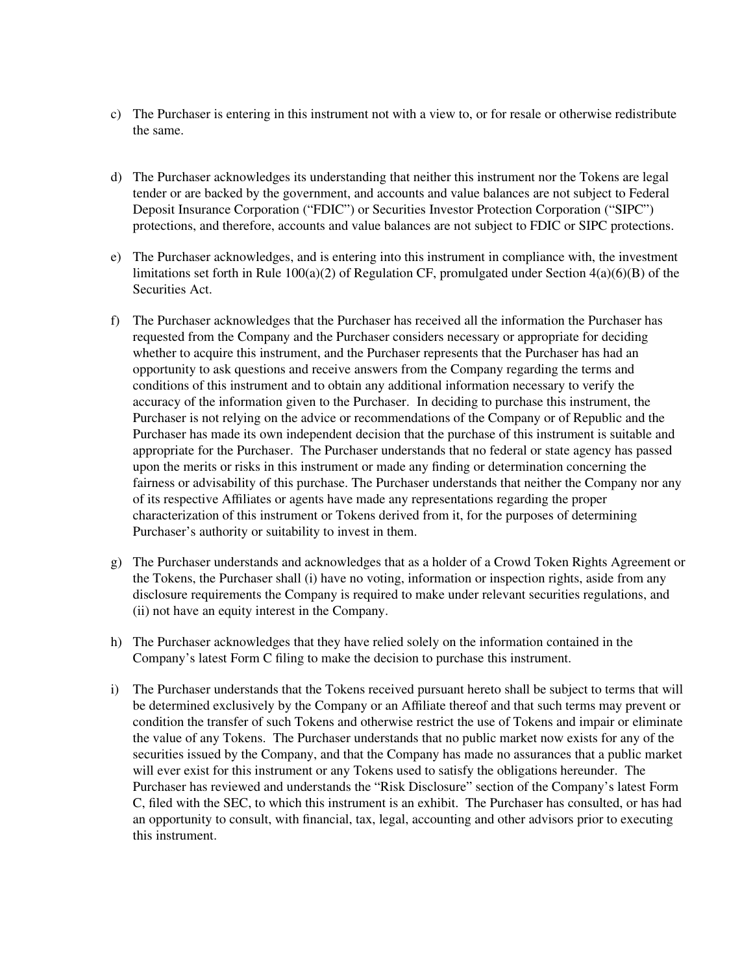- c) The Purchaser is entering in this instrument not with a view to, or for resale or otherwise redistribute the same.
- d) The Purchaser acknowledges its understanding that neither this instrument nor the Tokens are legal tender or are backed by the government, and accounts and value balances are not subject to Federal Deposit Insurance Corporation ("FDIC") or Securities Investor Protection Corporation ("SIPC") protections, and therefore, accounts and value balances are not subject to FDIC or SIPC protections.
- e) The Purchaser acknowledges, and is entering into this instrument in compliance with, the investment limitations set forth in Rule  $100(a)(2)$  of Regulation CF, promulgated under Section  $4(a)(6)(B)$  of the Securities Act.
- f) The Purchaser acknowledges that the Purchaser has received all the information the Purchaser has requested from the Company and the Purchaser considers necessary or appropriate for deciding whether to acquire this instrument, and the Purchaser represents that the Purchaser has had an opportunity to ask questions and receive answers from the Company regarding the terms and conditions of this instrument and to obtain any additional information necessary to verify the accuracy of the information given to the Purchaser. In deciding to purchase this instrument, the Purchaser is not relying on the advice or recommendations of the Company or of Republic and the Purchaser has made its own independent decision that the purchase of this instrument is suitable and appropriate for the Purchaser. The Purchaser understands that no federal or state agency has passed upon the merits or risks in this instrument or made any finding or determination concerning the fairness or advisability of this purchase. The Purchaser understands that neither the Company nor any of its respective Affiliates or agents have made any representations regarding the proper characterization of this instrument or Tokens derived from it, for the purposes of determining Purchaser's authority or suitability to invest in them.
- g) The Purchaser understands and acknowledges that as a holder of a Crowd Token Rights Agreement or the Tokens, the Purchaser shall (i) have no voting, information or inspection rights, aside from any disclosure requirements the Company is required to make under relevant securities regulations, and (ii) not have an equity interest in the Company.
- h) The Purchaser acknowledges that they have relied solely on the information contained in the Company's latest Form C filing to make the decision to purchase this instrument.
- i) The Purchaser understands that the Tokens received pursuant hereto shall be subject to terms that will be determined exclusively by the Company or an Affiliate thereof and that such terms may prevent or condition the transfer of such Tokens and otherwise restrict the use of Tokens and impair or eliminate the value of any Tokens. The Purchaser understands that no public market now exists for any of the securities issued by the Company, and that the Company has made no assurances that a public market will ever exist for this instrument or any Tokens used to satisfy the obligations hereunder. The Purchaser has reviewed and understands the "Risk Disclosure" section of the Company's latest Form C, filed with the SEC, to which this instrument is an exhibit. The Purchaser has consulted, or has had an opportunity to consult, with financial, tax, legal, accounting and other advisors prior to executing this instrument.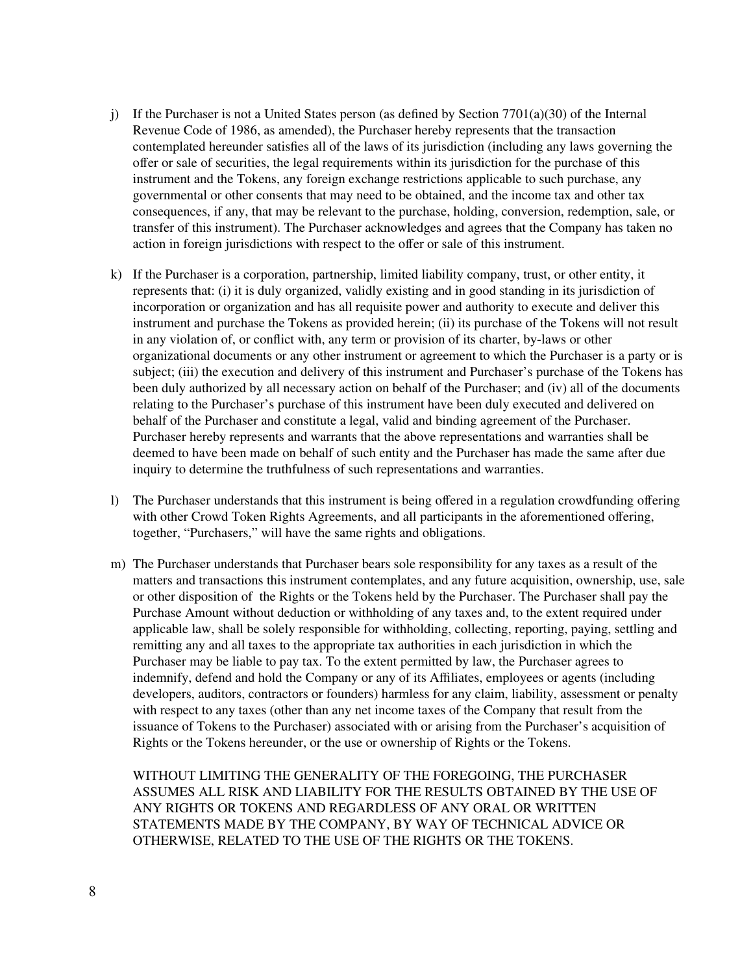- j) If the Purchaser is not a United States person (as defined by Section  $7701(a)(30)$  of the Internal Revenue Code of 1986, as amended), the Purchaser hereby represents that the transaction contemplated hereunder satisfies all of the laws of its jurisdiction (including any laws governing the offer or sale of securities, the legal requirements within its jurisdiction for the purchase of this instrument and the Tokens, any foreign exchange restrictions applicable to such purchase, any governmental or other consents that may need to be obtained, and the income tax and other tax consequences, if any, that may be relevant to the purchase, holding, conversion, redemption, sale, or transfer of this instrument). The Purchaser acknowledges and agrees that the Company has taken no action in foreign jurisdictions with respect to the offer or sale of this instrument.
- k) If the Purchaser is a corporation, partnership, limited liability company, trust, or other entity, it represents that: (i) it is duly organized, validly existing and in good standing in its jurisdiction of incorporation or organization and has all requisite power and authority to execute and deliver this instrument and purchase the Tokens as provided herein; (ii) its purchase of the Tokens will not result in any violation of, or conflict with, any term or provision of its charter, by-laws or other organizational documents or any other instrument or agreement to which the Purchaser is a party or is subject; (iii) the execution and delivery of this instrument and Purchaser's purchase of the Tokens has been duly authorized by all necessary action on behalf of the Purchaser; and (iv) all of the documents relating to the Purchaser's purchase of this instrument have been duly executed and delivered on behalf of the Purchaser and constitute a legal, valid and binding agreement of the Purchaser. Purchaser hereby represents and warrants that the above representations and warranties shall be deemed to have been made on behalf of such entity and the Purchaser has made the same after due inquiry to determine the truthfulness of such representations and warranties.
- l) The Purchaser understands that this instrument is being offered in a regulation crowdfunding offering with other Crowd Token Rights Agreements, and all participants in the aforementioned offering, together, "Purchasers," will have the same rights and obligations.
- m) The Purchaser understands that Purchaser bears sole responsibility for any taxes as a result of the matters and transactions this instrument contemplates, and any future acquisition, ownership, use, sale or other disposition of the Rights or the Tokens held by the Purchaser. The Purchaser shall pay the Purchase Amount without deduction or withholding of any taxes and, to the extent required under applicable law, shall be solely responsible for withholding, collecting, reporting, paying, settling and remitting any and all taxes to the appropriate tax authorities in each jurisdiction in which the Purchaser may be liable to pay tax. To the extent permitted by law, the Purchaser agrees to indemnify, defend and hold the Company or any of its Affiliates, employees or agents (including developers, auditors, contractors or founders) harmless for any claim, liability, assessment or penalty with respect to any taxes (other than any net income taxes of the Company that result from the issuance of Tokens to the Purchaser) associated with or arising from the Purchaser's acquisition of Rights or the Tokens hereunder, or the use or ownership of Rights or the Tokens.

WITHOUT LIMITING THE GENERALITY OF THE FOREGOING, THE PURCHASER ASSUMES ALL RISK AND LIABILITY FOR THE RESULTS OBTAINED BY THE USE OF ANY RIGHTS OR TOKENS AND REGARDLESS OF ANY ORAL OR WRITTEN STATEMENTS MADE BY THE COMPANY, BY WAY OF TECHNICAL ADVICE OR OTHERWISE, RELATED TO THE USE OF THE RIGHTS OR THE TOKENS.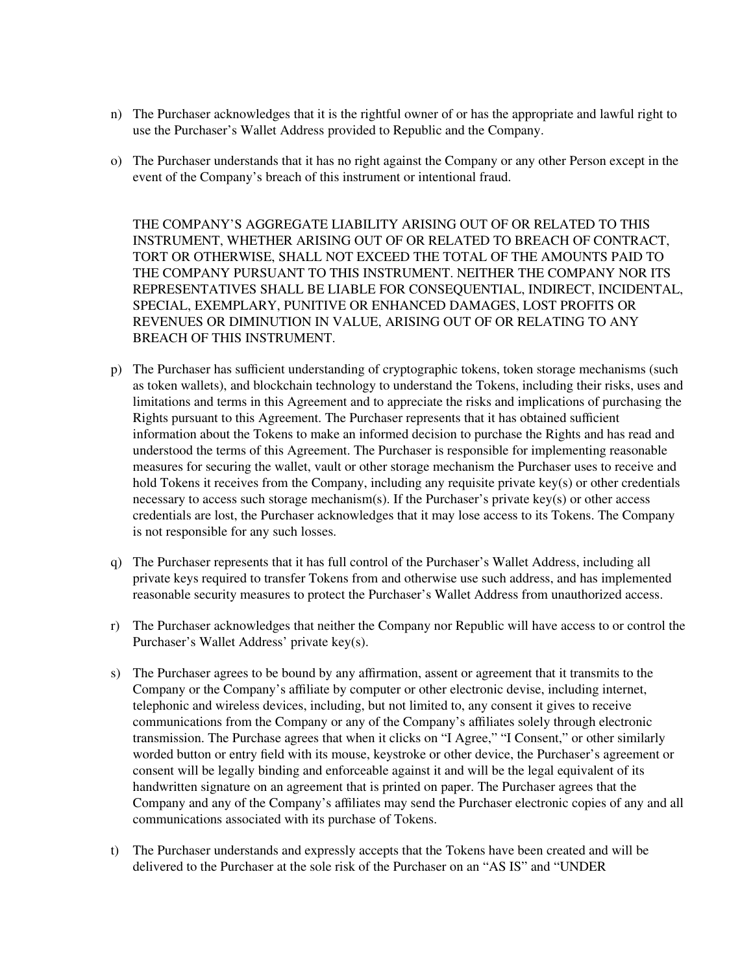- n) The Purchaser acknowledges that it is the rightful owner of or has the appropriate and lawful right to use the Purchaser's Wallet Address provided to Republic and the Company.
- o) The Purchaser understands that it has no right against the Company or any other Person except in the event of the Company's breach of this instrument or intentional fraud.

THE COMPANY'S AGGREGATE LIABILITY ARISING OUT OF OR RELATED TO THIS INSTRUMENT, WHETHER ARISING OUT OF OR RELATED TO BREACH OF CONTRACT, TORT OR OTHERWISE, SHALL NOT EXCEED THE TOTAL OF THE AMOUNTS PAID TO THE COMPANY PURSUANT TO THIS INSTRUMENT. NEITHER THE COMPANY NOR ITS REPRESENTATIVES SHALL BE LIABLE FOR CONSEQUENTIAL, INDIRECT, INCIDENTAL, SPECIAL, EXEMPLARY, PUNITIVE OR ENHANCED DAMAGES, LOST PROFITS OR REVENUES OR DIMINUTION IN VALUE, ARISING OUT OF OR RELATING TO ANY BREACH OF THIS INSTRUMENT.

- p) The Purchaser has sufficient understanding of cryptographic tokens, token storage mechanisms (such as token wallets), and blockchain technology to understand the Tokens, including their risks, uses and limitations and terms in this Agreement and to appreciate the risks and implications of purchasing the Rights pursuant to this Agreement. The Purchaser represents that it has obtained sufficient information about the Tokens to make an informed decision to purchase the Rights and has read and understood the terms of this Agreement. The Purchaser is responsible for implementing reasonable measures for securing the wallet, vault or other storage mechanism the Purchaser uses to receive and hold Tokens it receives from the Company, including any requisite private key(s) or other credentials necessary to access such storage mechanism(s). If the Purchaser's private key(s) or other access credentials are lost, the Purchaser acknowledges that it may lose access to its Tokens. The Company is not responsible for any such losses.
- q) The Purchaser represents that it has full control of the Purchaser's Wallet Address, including all private keys required to transfer Tokens from and otherwise use such address, and has implemented reasonable security measures to protect the Purchaser's Wallet Address from unauthorized access.
- r) The Purchaser acknowledges that neither the Company nor Republic will have access to or control the Purchaser's Wallet Address' private key(s).
- s) The Purchaser agrees to be bound by any affirmation, assent or agreement that it transmits to the Company or the Company's affiliate by computer or other electronic devise, including internet, telephonic and wireless devices, including, but not limited to, any consent it gives to receive communications from the Company or any of the Company's affiliates solely through electronic transmission. The Purchase agrees that when it clicks on "I Agree," "I Consent," or other similarly worded button or entry field with its mouse, keystroke or other device, the Purchaser's agreement or consent will be legally binding and enforceable against it and will be the legal equivalent of its handwritten signature on an agreement that is printed on paper. The Purchaser agrees that the Company and any of the Company's affiliates may send the Purchaser electronic copies of any and all communications associated with its purchase of Tokens.
- t) The Purchaser understands and expressly accepts that the Tokens have been created and will be delivered to the Purchaser at the sole risk of the Purchaser on an "AS IS" and "UNDER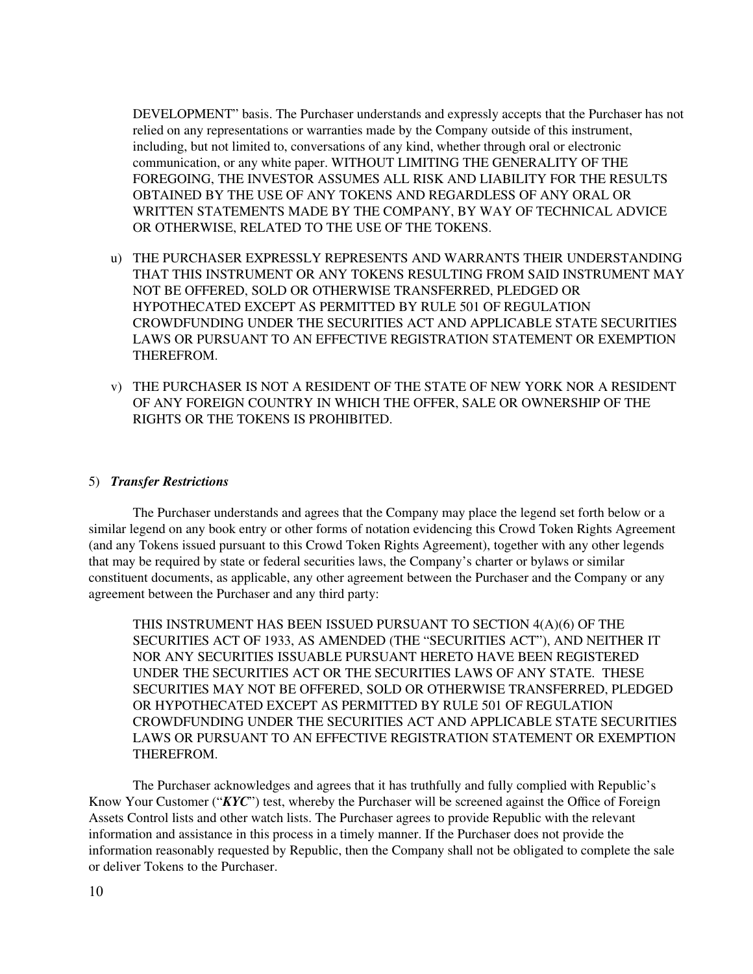DEVELOPMENT" basis. The Purchaser understands and expressly accepts that the Purchaser has not relied on any representations or warranties made by the Company outside of this instrument, including, but not limited to, conversations of any kind, whether through oral or electronic communication, or any white paper. WITHOUT LIMITING THE GENERALITY OF THE FOREGOING, THE INVESTOR ASSUMES ALL RISK AND LIABILITY FOR THE RESULTS OBTAINED BY THE USE OF ANY TOKENS AND REGARDLESS OF ANY ORAL OR WRITTEN STATEMENTS MADE BY THE COMPANY, BY WAY OF TECHNICAL ADVICE OR OTHERWISE, RELATED TO THE USE OF THE TOKENS.

- u) THE PURCHASER EXPRESSLY REPRESENTS AND WARRANTS THEIR UNDERSTANDING THAT THIS INSTRUMENT OR ANY TOKENS RESULTING FROM SAID INSTRUMENT MAY NOT BE OFFERED, SOLD OR OTHERWISE TRANSFERRED, PLEDGED OR HYPOTHECATED EXCEPT AS PERMITTED BY RULE 501 OF REGULATION CROWDFUNDING UNDER THE SECURITIES ACT AND APPLICABLE STATE SECURITIES LAWS OR PURSUANT TO AN EFFECTIVE REGISTRATION STATEMENT OR EXEMPTION THEREFROM.
- v) THE PURCHASER IS NOT A RESIDENT OF THE STATE OF NEW YORK NOR A RESIDENT OF ANY FOREIGN COUNTRY IN WHICH THE OFFER, SALE OR OWNERSHIP OF THE RIGHTS OR THE TOKENS IS PROHIBITED.

#### 5) *Transfer Restrictions*

The Purchaser understands and agrees that the Company may place the legend set forth below or a similar legend on any book entry or other forms of notation evidencing this Crowd Token Rights Agreement (and any Tokens issued pursuant to this Crowd Token Rights Agreement), together with any other legends that may be required by state or federal securities laws, the Company's charter or bylaws or similar constituent documents, as applicable, any other agreement between the Purchaser and the Company or any agreement between the Purchaser and any third party:

THIS INSTRUMENT HAS BEEN ISSUED PURSUANT TO SECTION 4(A)(6) OF THE SECURITIES ACT OF 1933, AS AMENDED (THE "SECURITIES ACT"), AND NEITHER IT NOR ANY SECURITIES ISSUABLE PURSUANT HERETO HAVE BEEN REGISTERED UNDER THE SECURITIES ACT OR THE SECURITIES LAWS OF ANY STATE. THESE SECURITIES MAY NOT BE OFFERED, SOLD OR OTHERWISE TRANSFERRED, PLEDGED OR HYPOTHECATED EXCEPT AS PERMITTED BY RULE 501 OF REGULATION CROWDFUNDING UNDER THE SECURITIES ACT AND APPLICABLE STATE SECURITIES LAWS OR PURSUANT TO AN EFFECTIVE REGISTRATION STATEMENT OR EXEMPTION THEREFROM.

The Purchaser acknowledges and agrees that it has truthfully and fully complied with Republic's Know Your Customer ("*KYC*") test, whereby the Purchaser will be screened against the Office of Foreign Assets Control lists and other watch lists. The Purchaser agrees to provide Republic with the relevant information and assistance in this process in a timely manner. If the Purchaser does not provide the information reasonably requested by Republic, then the Company shall not be obligated to complete the sale or deliver Tokens to the Purchaser.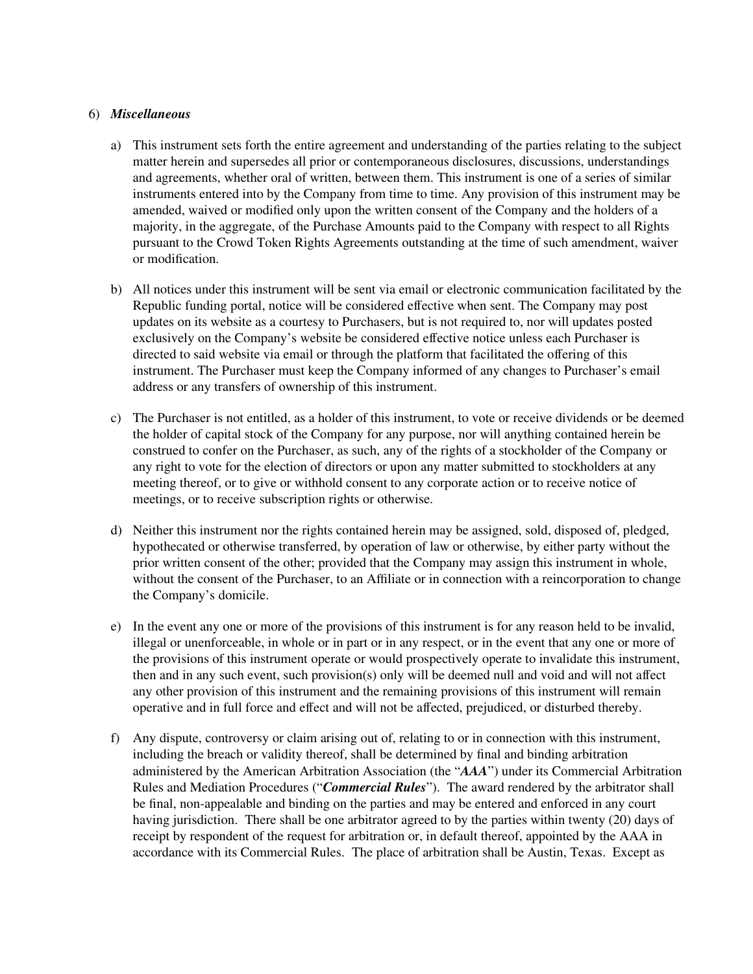### 6) *Miscellaneous*

- a) This instrument sets forth the entire agreement and understanding of the parties relating to the subject matter herein and supersedes all prior or contemporaneous disclosures, discussions, understandings and agreements, whether oral of written, between them. This instrument is one of a series of similar instruments entered into by the Company from time to time. Any provision of this instrument may be amended, waived or modified only upon the written consent of the Company and the holders of a majority, in the aggregate, of the Purchase Amounts paid to the Company with respect to all Rights pursuant to the Crowd Token Rights Agreements outstanding at the time of such amendment, waiver or modification.
- b) All notices under this instrument will be sent via email or electronic communication facilitated by the Republic funding portal, notice will be considered effective when sent. The Company may post updates on its website as a courtesy to Purchasers, but is not required to, nor will updates posted exclusively on the Company's website be considered effective notice unless each Purchaser is directed to said website via email or through the platform that facilitated the offering of this instrument. The Purchaser must keep the Company informed of any changes to Purchaser's email address or any transfers of ownership of this instrument.
- c) The Purchaser is not entitled, as a holder of this instrument, to vote or receive dividends or be deemed the holder of capital stock of the Company for any purpose, nor will anything contained herein be construed to confer on the Purchaser, as such, any of the rights of a stockholder of the Company or any right to vote for the election of directors or upon any matter submitted to stockholders at any meeting thereof, or to give or withhold consent to any corporate action or to receive notice of meetings, or to receive subscription rights or otherwise.
- d) Neither this instrument nor the rights contained herein may be assigned, sold, disposed of, pledged, hypothecated or otherwise transferred, by operation of law or otherwise, by either party without the prior written consent of the other; provided that the Company may assign this instrument in whole, without the consent of the Purchaser, to an Affiliate or in connection with a reincorporation to change the Company's domicile.
- e) In the event any one or more of the provisions of this instrument is for any reason held to be invalid, illegal or unenforceable, in whole or in part or in any respect, or in the event that any one or more of the provisions of this instrument operate or would prospectively operate to invalidate this instrument, then and in any such event, such provision(s) only will be deemed null and void and will not affect any other provision of this instrument and the remaining provisions of this instrument will remain operative and in full force and effect and will not be affected, prejudiced, or disturbed thereby.
- f) Any dispute, controversy or claim arising out of, relating to or in connection with this instrument, including the breach or validity thereof, shall be determined by final and binding arbitration administered by the American Arbitration Association (the "*AAA*") under its Commercial Arbitration Rules and Mediation Procedures ("*Commercial Rules*"). The award rendered by the arbitrator shall be final, non-appealable and binding on the parties and may be entered and enforced in any court having jurisdiction. There shall be one arbitrator agreed to by the parties within twenty (20) days of receipt by respondent of the request for arbitration or, in default thereof, appointed by the AAA in accordance with its Commercial Rules. The place of arbitration shall be Austin, Texas. Except as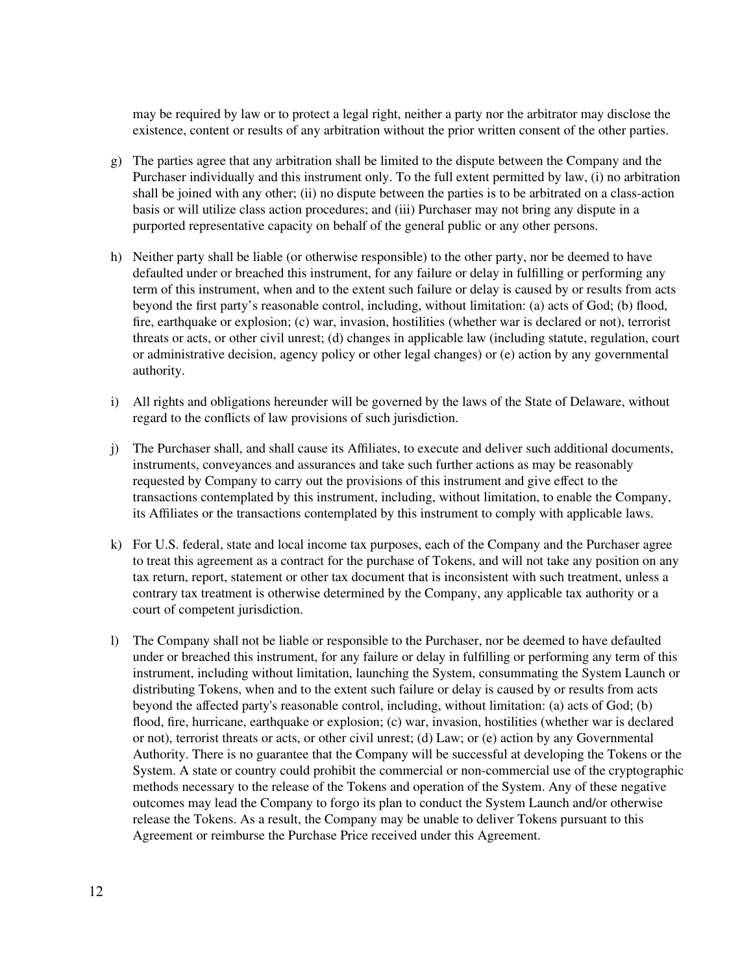may be required by law or to protect a legal right, neither a party nor the arbitrator may disclose the existence, content or results of any arbitration without the prior written consent of the other parties.

- g) The parties agree that any arbitration shall be limited to the dispute between the Company and the Purchaser individually and this instrument only. To the full extent permitted by law, (i) no arbitration shall be joined with any other; (ii) no dispute between the parties is to be arbitrated on a class-action basis or will utilize class action procedures; and (iii) Purchaser may not bring any dispute in a purported representative capacity on behalf of the general public or any other persons.
- h) Neither party shall be liable (or otherwise responsible) to the other party, nor be deemed to have defaulted under or breached this instrument, for any failure or delay in fulfilling or performing any term of this instrument, when and to the extent such failure or delay is caused by or results from acts beyond the first party's reasonable control, including, without limitation: (a) acts of God; (b) flood, fire, earthquake or explosion; (c) war, invasion, hostilities (whether war is declared or not), terrorist threats or acts, or other civil unrest; (d) changes in applicable law (including statute, regulation, court or administrative decision, agency policy or other legal changes) or (e) action by any governmental authority.
- i) All rights and obligations hereunder will be governed by the laws of the State of Delaware, without regard to the conflicts of law provisions of such jurisdiction.
- j) The Purchaser shall, and shall cause its Affiliates, to execute and deliver such additional documents, instruments, conveyances and assurances and take such further actions as may be reasonably requested by Company to carry out the provisions of this instrument and give effect to the transactions contemplated by this instrument, including, without limitation, to enable the Company, its Affiliates or the transactions contemplated by this instrument to comply with applicable laws.
- k) For U.S. federal, state and local income tax purposes, each of the Company and the Purchaser agree to treat this agreement as a contract for the purchase of Tokens, and will not take any position on any tax return, report, statement or other tax document that is inconsistent with such treatment, unless a contrary tax treatment is otherwise determined by the Company, any applicable tax authority or a court of competent jurisdiction.
- l) The Company shall not be liable or responsible to the Purchaser, nor be deemed to have defaulted under or breached this instrument, for any failure or delay in fulfilling or performing any term of this instrument, including without limitation, launching the System, consummating the System Launch or distributing Tokens, when and to the extent such failure or delay is caused by or results from acts beyond the affected party's reasonable control, including, without limitation: (a) acts of God; (b) flood, fire, hurricane, earthquake or explosion; (c) war, invasion, hostilities (whether war is declared or not), terrorist threats or acts, or other civil unrest; (d) Law; or (e) action by any Governmental Authority. There is no guarantee that the Company will be successful at developing the Tokens or the System. A state or country could prohibit the commercial or non-commercial use of the cryptographic methods necessary to the release of the Tokens and operation of the System. Any of these negative outcomes may lead the Company to forgo its plan to conduct the System Launch and/or otherwise release the Tokens. As a result, the Company may be unable to deliver Tokens pursuant to this Agreement or reimburse the Purchase Price received under this Agreement.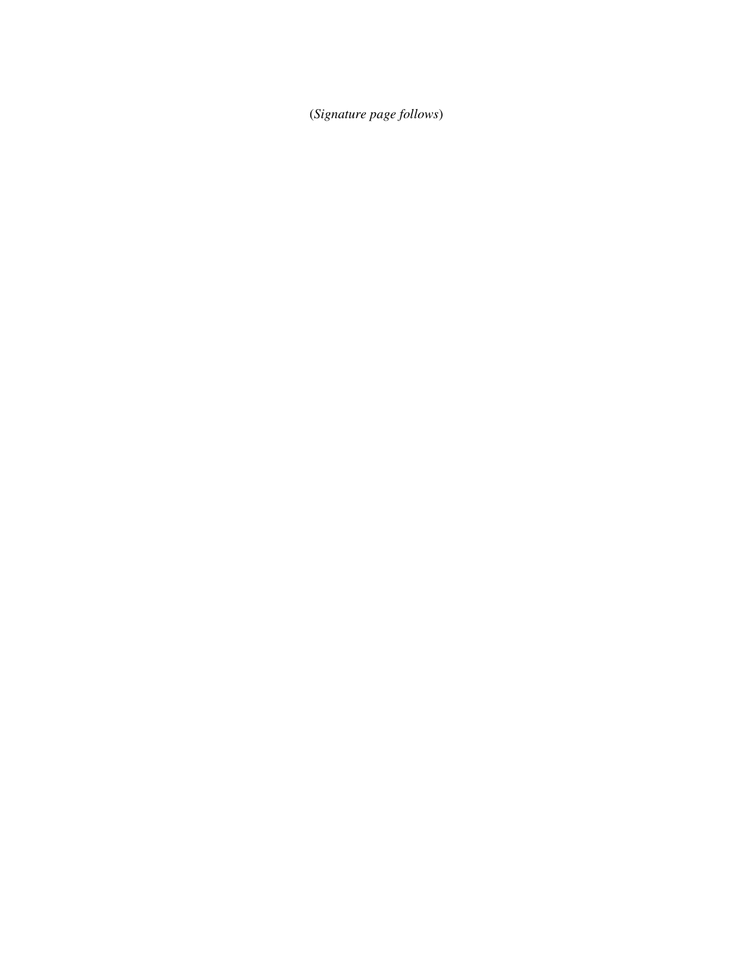(*Signature page follows*)